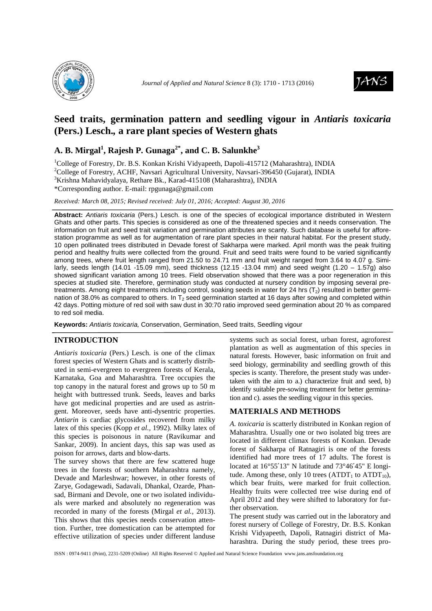



# **Seed traits, germination pattern and seedling vigour in** *Antiaris toxicaria*  **(Pers.) Lesch.***,* **a rare plant species of Western ghats**

## **A. B. Mirgal<sup>1</sup> , Rajesh P. Gunaga2\*, and C. B. Salunkhe<sup>3</sup>**

<sup>1</sup>College of Forestry, Dr. B.S. Konkan Krishi Vidyapeeth, Dapoli-415712 (Maharashtra), INDIA <sup>2</sup>College of Forestry, ACHF, Navsari Agricultural University, Navsari-396450 (Gujarat), INDIA <sup>3</sup>Krishna Mahavidyalaya, Rethare Bk., Karad-415108 (Maharashtra), INDIA

\*Corresponding author. E-mail: rpgunaga@gmail.com

*Received: March 08, 2015; Revised received: July 01, 2016; Accepted: August 30, 2016*

**Abstract:** Antiaris toxicaria (Pers.) Lesch. is one of the species of ecological importance distributed in Western Ghats and other parts. This species is considered as one of the threatened species and it needs conservation. The information on fruit and seed trait variation and germination attributes are scanty. Such database is useful for afforestation programme as well as for augmentation of rare plant species in their natural habitat. For the present study, 10 open pollinated trees distributed in Devade forest of Sakharpa were marked. April month was the peak fruiting period and healthy fruits were collected from the ground. Fruit and seed traits were found to be varied significantly among trees, where fruit length ranged from 21.50 to 24.71 mm and fruit weight ranged from 3.64 to 4.07 g. Similarly, seeds length (14.01 -15.09 mm), seed thickness (12.15 -13.04 mm) and seed weight (1.20 – 1.57g) also showed significant variation among 10 trees. Field observation showed that there was a poor regeneration in this species at studied site. Therefore, germination study was conducted at nursery condition by imposing several pretreatments. Among eight treatments including control, soaking seeds in water for 24 hrs  $(T_2)$  resulted in better germination of 38.0% as compared to others. In  $T_2$  seed germination started at 16 days after sowing and completed within 42 days. Potting mixture of red soil with saw dust in 30:70 ratio improved seed germination about 20 % as compared to red soil media.

**Keywords:** Antiaris toxicaria, Conservation, Germination, Seed traits, Seedling vigour

### **INTRODUCTION**

*Antiaris toxicaria* (Pers.) Lesch. is one of the climax forest species of Western Ghats and is scatterly distributed in semi-evergreen to evergreen forests of Kerala, Karnataka, Goa and Maharashtra. Tree occupies the top canopy in the natural forest and grows up to 50 m height with buttressed trunk. Seeds, leaves and barks have got medicinal properties and are used as astringent. Moreover, seeds have anti-dysentric properties. *Antiarin* is cardiac glycosides recovered from milky latex of this species (Kopp *et al.,* 1992). Milky latex of this species is poisonous in nature (Ravikumar and Sankar, 2009). In ancient days, this sap was used as poison for arrows, darts and blow-darts.

The survey shows that there are few scattered huge trees in the forests of southern Maharashtra namely, Devade and Marleshwar; however, in other forests of Zarye, Godagewadi, Sadavali, Dhankal, Ozarde, Phansad, Birmani and Devole, one or two isolated individuals were marked and absolutely no regeneration was recorded in many of the forests (Mirgal *et al.,* 2013). This shows that this species needs conservation attention. Further, tree domestication can be attempted for effective utilization of species under different landuse

systems such as social forest, urban forest, agroforest plantation as well as augmentation of this species in natural forests. However, basic information on fruit and seed biology, germinability and seedling growth of this species is scanty. Therefore, the present study was undertaken with the aim to a.) characterize fruit and seed, b) identify suitable pre-sowing treatment for better germination and c). asses the seedling vigour in this species.

### **MATERIALS AND METHODS**

*A. toxicaria* is scatterly distributed in Konkan region of Maharashtra. Usually one or two isolated big trees are located in different climax forests of Konkan. Devade forest of Sakharpa of Ratnagiri is one of the forests identified had more trees of 17 adults. The forest is located at 16°55′13" N latitude and 73°46′45" E longitude. Among these, only 10 trees  $(ATDT<sub>1</sub>$  to  $ATDT<sub>10</sub>$ ), which bear fruits, were marked for fruit collection. Healthy fruits were collected tree wise during end of April 2012 and they were shifted to laboratory for further observation.

The present study was carried out in the laboratory and forest nursery of College of Forestry, Dr. B.S. Konkan Krishi Vidyapeeth, Dapoli, Ratnagiri district of Maharashtra. During the study period, these trees pro-

ISSN : 0974-9411 (Print), 2231-5209 (Online) All Rights Reserved © Applied and Natural Science Foundation www.jans.ansfoundation.org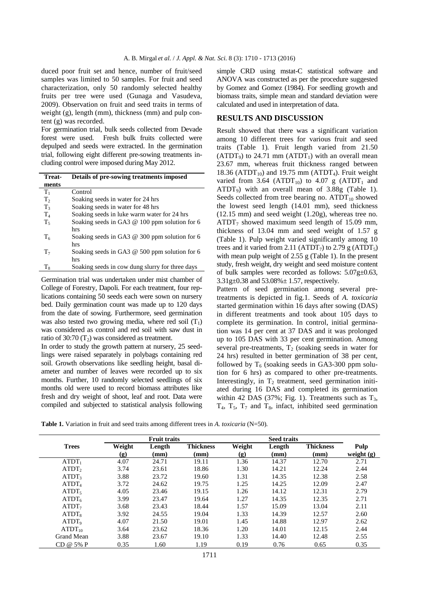duced poor fruit set and hence, number of fruit/seed samples was limited to 50 samples. For fruit and seed characterization, only 50 randomly selected healthy fruits per tree were used (Gunaga and Vasudeva, 2009). Observation on fruit and seed traits in terms of weight (g), length (mm), thickness (mm) and pulp content (g) was recorded.

For germination trial, bulk seeds collected from Devade forest were used. Fresh bulk fruits collected were depulped and seeds were extracted. In the germination trial, following eight different pre-sowing treatments including control were imposed during May 2012.

| Treat-         | Details of pre-sowing treatments imposed        |
|----------------|-------------------------------------------------|
| ments          |                                                 |
| $T_{1}$        | Control                                         |
| T <sub>2</sub> | Soaking seeds in water for 24 hrs               |
| $T_3$          | Soaking seeds in water for 48 hrs               |
| $T_{4}$        | Soaking seeds in luke warm water for 24 hrs     |
| $T_5$          | Soaking seeds in GA3 @ 100 ppm solution for 6   |
|                | hrs                                             |
| $T_6$          | Soaking seeds in GA3 $@$ 300 ppm solution for 6 |
|                | hrs                                             |
| T <sub>7</sub> | Soaking seeds in GA3 $@$ 500 ppm solution for 6 |
|                | hrs                                             |
| $T_{8}$        | Soaking seeds in cow dung slurry for three days |

Germination trial was undertaken under mist chamber of College of Forestry, Dapoli. For each treatment, four replications containing 50 seeds each were sown on nursery bed. Daily germination count was made up to 120 days from the date of sowing. Furthermore, seed germination was also tested two growing media, where red soil  $(T_1)$ was considered as control and red soil with saw dust in ratio of 30:70  $(T_2)$  was considered as treatment.

In order to study the growth pattern at nursery, 25 seedlings were raised separately in polybags containing red soil. Growth observations like seedling height, basal diameter and number of leaves were recorded up to six months. Further, 10 randomly selected seedlings of six months old were used to record biomass attributes like fresh and dry weight of shoot, leaf and root. Data were compiled and subjected to statistical analysis following

simple CRD using mstat-C statistical software and ANOVA was constructed as per the procedure suggested by Gomez and Gomez (1984). For seedling growth and biomass traits, simple mean and standard deviation were calculated and used in interpretation of data.

### **RESULTS AND DISCUSSION**

Result showed that there was a significant variation among 10 different trees for various fruit and seed traits (Table 1)*.* Fruit length varied from 21.50  $(ATDT<sub>9</sub>)$  to 24.71 mm  $(ATDT<sub>1</sub>)$  with an overall mean 23.67 mm, whereas fruit thickness ranged between 18.36 (ATDT<sub>10</sub>) and 19.75 mm (ATDT<sub>4</sub>). Fruit weight varied from 3.64 (ATDT<sub>10</sub>) to 4.07 g (ATDT<sub>1</sub> and  $ATDT<sub>9</sub>$ ) with an overall mean of 3.88g (Table 1). Seeds collected from tree bearing no.  $ATDT<sub>10</sub>$  showed the lowest seed length (14.01 mm), seed thickness (12.15 mm) and seed weight (1.20g), whereas tree no.  $ATDT<sub>7</sub>$  showed maximum seed length of 15.09 mm, thickness of 13.04 mm and seed weight of 1.57 g (Table 1). Pulp weight varied significantly among 10 trees and it varied from 2.11 (ATDT<sub>7</sub>) to 2.79 g (ATDT<sub>5</sub>) with mean pulp weight of 2.55 g (Table 1). In the present study, fresh weight, dry weight and seed moisture content of bulk samples were recorded as follows: 5.07g±0.63, 3.31g±0.38 and 53.08%± 1.57, respectively.

Pattern of seed germination among several pretreatments is depicted in fig.1. Seeds of *A. toxicaria*  started germination within 16 days after sowing (DAS) in different treatments and took about 105 days to complete its germination. In control, initial germination was 14 per cent at 37 DAS and it was prolonged up to 105 DAS with 33 per cent germination. Among several pre-treatments,  $T_2$  (soaking seeds in water for 24 hrs) resulted in better germination of 38 per cent, followed by  $T<sub>6</sub>$  (soaking seeds in GA3-300 ppm solution for 6 hrs) as compared to other pre-treatments. Interestingly, in  $T_2$  treatment, seed germination initiated during 16 DAS and completed its germination within 42 DAS (37%; Fig. 1). Treatments such as  $T_3$ ,  $T_4$ ,  $T_5$ ,  $T_7$  and  $T_8$ , infact, inhibited seed germination

**Table 1.** Variation in fruit and seed traits among different trees in *A. toxicaria* (N=50)*.*

|                   | <b>Fruit traits</b>         |        |                  |                             |        |                  |              |
|-------------------|-----------------------------|--------|------------------|-----------------------------|--------|------------------|--------------|
| <b>Trees</b>      | Weight                      | Length | <b>Thickness</b> | Weight                      | Length | <b>Thickness</b> | Pulp         |
|                   | $\left( \mathbf{g} \right)$ | (mm)   | (mm)             | $\left( \mathbf{g} \right)$ | (mm)   | (mm)             | weight $(g)$ |
| ATDT <sub>1</sub> | 4.07                        | 24.71  | 19.11            | 1.36                        | 14.37  | 12.70            | 2.71         |
| ATDT <sub>2</sub> | 3.74                        | 23.61  | 18.86            | 1.30                        | 14.21  | 12.24            | 2.44         |
| ATDT <sub>3</sub> | 3.88                        | 23.72  | 19.60            | 1.31                        | 14.35  | 12.38            | 2.58         |
| ATDT <sub>4</sub> | 3.72                        | 24.62  | 19.75            | 1.25                        | 14.25  | 12.09            | 2.47         |
| ATDT <sub>5</sub> | 4.05                        | 23.46  | 19.15            | 1.26                        | 14.12  | 12.31            | 2.79         |
| ATDT <sub>6</sub> | 3.99                        | 23.47  | 19.64            | 1.27                        | 14.35  | 12.35            | 2.71         |
| ATDT <sub>7</sub> | 3.68                        | 23.43  | 18.44            | 1.57                        | 15.09  | 13.04            | 2.11         |
| ATDT <sub>8</sub> | 3.92                        | 24.55  | 19.04            | 1.33                        | 14.39  | 12.57            | 2.60         |
| ATDT <sub>9</sub> | 4.07                        | 21.50  | 19.01            | 1.45                        | 14.88  | 12.97            | 2.62         |
| $ATDT_{10}$       | 3.64                        | 23.62  | 18.36            | 1.20                        | 14.01  | 12.15            | 2.44         |
| Grand Mean        | 3.88                        | 23.67  | 19.10            | 1.33                        | 14.40  | 12.48            | 2.55         |
| CD @ 5% P         | 0.35                        | 1.60   | 1.19             | 0.19                        | 0.76   | 0.65             | 0.35         |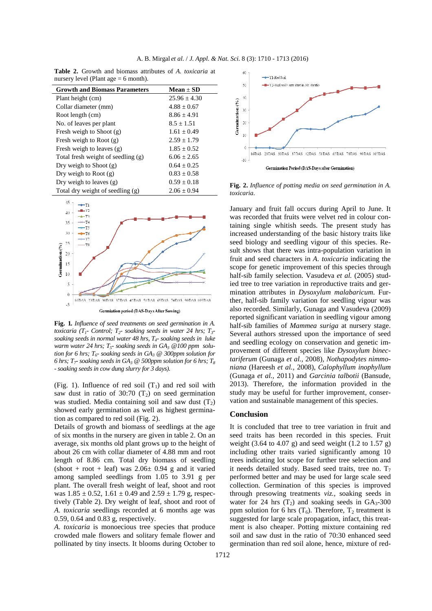|  |  |                                        | <b>Table 2.</b> Growth and biomass attributes of A. toxicaria at |  |  |
|--|--|----------------------------------------|------------------------------------------------------------------|--|--|
|  |  | nursery level (Plant age $= 6$ month). |                                                                  |  |  |

| <b>Growth and Biomass Parameters</b> | $Mean \pm SD$    |
|--------------------------------------|------------------|
| Plant height (cm)                    | $25.96 \pm 4.30$ |
| Collar diameter (mm)                 | $4.88 + 0.67$    |
| Root length (cm)                     | $8.86 + 4.91$    |
| No. of leaves per plant              | $8.5 + 1.51$     |
| Fresh weigh to Shoot $(g)$           | $1.61 + 0.49$    |
| Fresh weigh to Root $(g)$            | $2.59 \pm 1.79$  |
| Fresh weigh to leaves $(g)$          | $1.85 \pm 0.52$  |
| Total fresh weight of seedling (g)   | $6.06 + 2.65$    |
| Dry weigh to Shoot $(g)$             | $0.64 + 0.25$    |
| Dry weigh to Root $(g)$              | $0.83 \pm 0.58$  |
| Dry weigh to leaves $(g)$            | $0.59 \pm 0.18$  |
| Total dry weight of seedling (g)     | $2.06 \pm 0.94$  |



**Fig. 1***. Influence of seed treatments on seed germination in A. toxicaria (T1- Control; T2- soaking seeds in water 24 hrs; T3 soaking seeds in normal water 48 hrs, T4- soaking seeds in luke warm water 24 hrs; T5- soaking seeds in GA3 @100 ppm solution for 6 hrs; T6- soaking seeds in GA3 @ 300ppm solution for 6 hrs; T7- soaking seeds in GA3 @ 500ppm solution for 6 hrs; T<sup>8</sup> - soaking seeds in cow dung slurry for 3 days).* 

(Fig. 1). Influence of red soil  $(T_1)$  and red soil with saw dust in ratio of 30:70  $(T_2)$  on seed germination was studied. Media containing soil and saw dust  $(T_2)$ showed early germination as well as highest germination as compared to red soil (Fig. 2).

Details of growth and biomass of seedlings at the age of six months in the nursery are given in table 2. On an average, six months old plant grows up to the height of about 26 cm with collar diameter of 4.88 mm and root length of 8.86 cm. Total dry biomass of seedling  $(\text{shoot} + \text{root} + \text{leaf})$  was  $2.06 \pm 0.94$  g and it varied among sampled seedlings from 1.05 to 3.91 g per plant. The overall fresh weight of leaf, shoot and root was  $1.85 \pm 0.52$ ,  $1.61 \pm 0.49$  and  $2.59 \pm 1.79$  g, respectively (Table 2). Dry weight of leaf, shoot and root of *A. toxicaria* seedlings recorded at 6 months age was 0.59, 0.64 and 0.83 g, respectively.

*A. toxicaria* is monoecious tree species that produce crowded male flowers and solitary female flower and pollinated by tiny insects. It blooms during October to



**Fig. 2.** *Influence of potting media on seed germination in A. toxicaria.* 

January and fruit fall occurs during April to June. It was recorded that fruits were velvet red in colour containing single whitish seeds. The present study has increased understanding of the basic history traits like seed biology and seedling vigour of this species. Result shows that there was intra-population variation in fruit and seed characters in *A. toxicaria* indicating the scope for genetic improvement of this species through half-sib family selection. Vasudeva *et al.* (2005) studied tree to tree variation in reproductive traits and germination attributes in *Dysoxylum malabaricum*. Further, half-sib family variation for seedling vigour was also recorded. Similarly, Gunaga and Vasudeva (2009) reported significant variation in seedling vigour among half-sib families of *Mammea suriga* at nursery stage. Several authors stressed upon the importance of seed and seedling ecology on conservation and genetic improvement of different species like *Dysoxylum binectariferum* (Gunaga *et al.,* 2008)*, Nothapodytes nimmoniana* (Hareesh *et al.,* 2008), *Calophyllum inophyllum*  (Gunaga *et al.,* 2011) and *Garcinia talbotii* (Bansude, 2013). Therefore, the information provided in the study may be useful for further improvement, conservation and sustainable management of this species.

#### **Conclusion**

It is concluded that tree to tree variation in fruit and seed traits has been recorded in this species. Fruit weight (3.64 to 4.07 g) and seed weight (1.2 to 1.57 g) including other traits varied significantly among 10 trees indicating lot scope for further tree selection and it needs detailed study. Based seed traits, tree no.  $T_7$ performed better and may be used for large scale seed collection. Germination of this species is improved through presowing treatments *viz.,* soaking seeds in water for 24 hrs  $(T_2)$  and soaking seeds in  $GA_3$ -300 ppm solution for 6 hrs  $(T_6)$ . Therefore,  $T_2$  treatment is suggested for large scale propagation, infact, this treatment is also cheaper. Potting mixture containing red soil and saw dust in the ratio of 70:30 enhanced seed germination than red soil alone, hence, mixture of red-